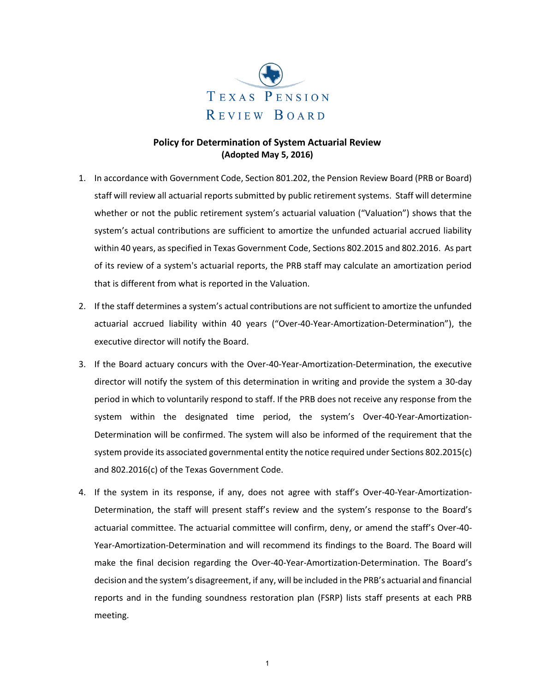

## **Policy for Determination of System Actuarial Review (Adopted May 5, 2016)**

- 1. In accordance with Government Code, Section 801.202, the Pension Review Board (PRB or Board) staff will review all actuarial reports submitted by public retirement systems. Staff will determine whether or not the public retirement system's actuarial valuation ("Valuation") shows that the system's actual contributions are sufficient to amortize the unfunded actuarial accrued liability within 40 years, as specified in Texas Government Code, Sections 802.2015 and 802.2016. As part of its review of a system's actuarial reports, the PRB staff may calculate an amortization period that is different from what is reported in the Valuation.
- 2. If the staff determines a system's actual contributions are not sufficient to amortize the unfunded actuarial accrued liability within 40 years ("Over-40-Year-Amortization-Determination"), the executive director will notify the Board.
- 3. If the Board actuary concurs with the Over-40-Year-Amortization-Determination, the executive director will notify the system of this determination in writing and provide the system a 30-day period in which to voluntarily respond to staff. If the PRB does not receive any response from the system within the designated time period, the system's Over-40-Year-Amortization-Determination will be confirmed. The system will also be informed of the requirement that the system provide its associated governmental entity the notice required under Sections 802.2015(c) and 802.2016(c) of the Texas Government Code.
- 4. If the system in its response, if any, does not agree with staff's Over-40-Year-Amortization-Determination, the staff will present staff's review and the system's response to the Board's actuarial committee. The actuarial committee will confirm, deny, or amend the staff's Over-40- Year-Amortization-Determination and will recommend its findings to the Board. The Board will make the final decision regarding the Over-40-Year-Amortization-Determination. The Board's decision and the system's disagreement, if any, will be included in the PRB's actuarial and financial reports and in the funding soundness restoration plan (FSRP) lists staff presents at each PRB meeting.